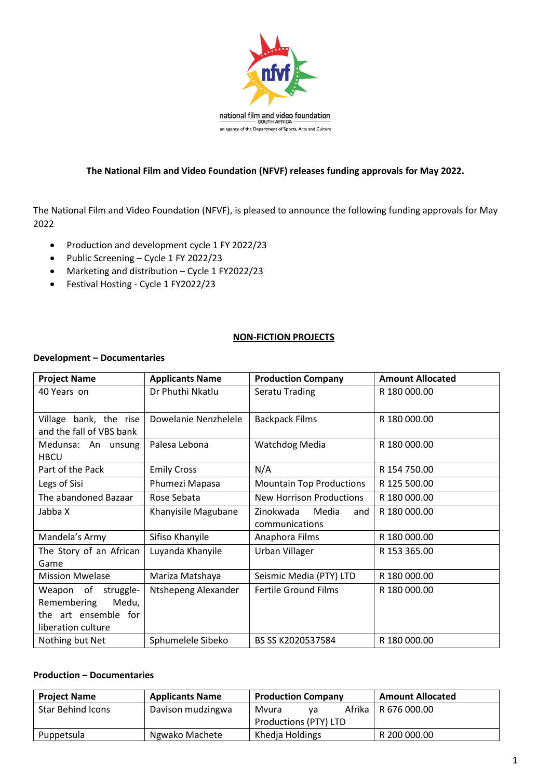

## **The National Film and Video Foundation (NFVF) releases funding approvals for May 2022.**

The National Film and Video Foundation (NFVF), is pleased to announce the following funding approvals for May 2022

- Production and development cycle 1 FY 2022/23
- Public Screening Cycle 1 FY 2022/23
- Marketing and distribution Cycle 1 FY2022/23
- Festival Hosting Cycle 1 FY2022/23

#### **NON-FICTION PROJECTS**

#### **Development – Documentaries**

| <b>Project Name</b>                                                                       | <b>Applicants Name</b> | <b>Production Company</b>                   | <b>Amount Allocated</b> |
|-------------------------------------------------------------------------------------------|------------------------|---------------------------------------------|-------------------------|
| 40 Years on                                                                               | Dr Phuthi Nkatlu       | Seratu Trading                              | R 180 000.00            |
| Village bank, the rise<br>and the fall of VBS bank                                        | Dowelanie Nenzhelele   | <b>Backpack Films</b>                       | R 180 000.00            |
| Medunsa: An unsung<br><b>HBCU</b>                                                         | Palesa Lebona          | <b>Watchdog Media</b>                       | R 180 000.00            |
| Part of the Pack                                                                          | <b>Emily Cross</b>     | N/A                                         | R 154 750.00            |
| Legs of Sisi                                                                              | Phumezi Mapasa         | <b>Mountain Top Productions</b>             | R 125 500.00            |
| The abandoned Bazaar                                                                      | Rose Sebata            | <b>New Horrison Productions</b>             | R 180 000.00            |
| Jabba X                                                                                   | Khanyisile Magubane    | Zinokwada<br>Media<br>and<br>communications | R 180 000.00            |
| Mandela's Army                                                                            | Sifiso Khanyile        | Anaphora Films                              | R 180 000.00            |
| The Story of an African<br>Game                                                           | Luyanda Khanyile       | Urban Villager                              | R 153 365.00            |
| <b>Mission Mwelase</b>                                                                    | Mariza Matshaya        | Seismic Media (PTY) LTD                     | R 180 000.00            |
| Weapon of struggle-<br>Medu,<br>Remembering<br>the art ensemble for<br>liberation culture | Ntshepeng Alexander    | <b>Fertile Ground Films</b>                 | R 180 000.00            |
| Nothing but Net                                                                           | Sphumelele Sibeko      | BS SS K2020537584                           | R 180 000.00            |

#### **Production – Documentaries**

| <b>Project Name</b>      | <b>Applicants Name</b> | <b>Production Company</b> | <b>Amount Allocated</b> |
|--------------------------|------------------------|---------------------------|-------------------------|
| <b>Star Behind Icons</b> | Davison mudzingwa      | Afrika<br>Mvura<br>va     | R 676 000.00            |
|                          |                        | Productions (PTY) LTD     |                         |
| Puppetsula               | Ngwako Machete         | Khedja Holdings           | R 200 000.00            |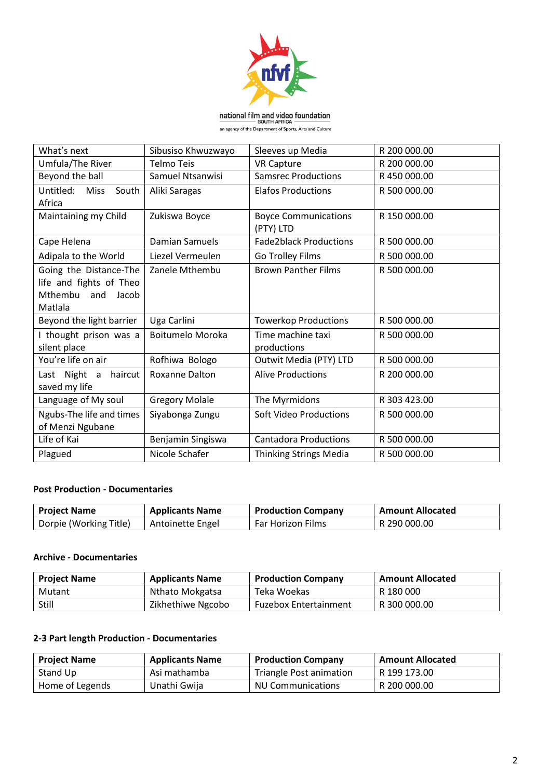

**national film and video foundation**<br>SOUTH AFRICA<br>an agency of the Department of Sports, Arts and Culture

| What's next                                                                             | Sibusiso Khwuzwayo    | Sleeves up Media                         | R 200 000.00 |
|-----------------------------------------------------------------------------------------|-----------------------|------------------------------------------|--------------|
| Umfula/The River                                                                        | <b>Telmo Teis</b>     | <b>VR Capture</b>                        | R 200 000.00 |
| Beyond the ball                                                                         | Samuel Ntsanwisi      | <b>Samsrec Productions</b>               | R450000.00   |
| Untitled:<br>Miss<br>South<br>Africa                                                    | Aliki Saragas         | <b>Elafos Productions</b>                | R 500 000.00 |
| Maintaining my Child                                                                    | Zukiswa Boyce         | <b>Boyce Communications</b><br>(PTY) LTD | R 150 000.00 |
| Cape Helena                                                                             | Damian Samuels        | <b>Fade2black Productions</b>            | R 500 000.00 |
| Adipala to the World                                                                    | Liezel Vermeulen      | Go Trolley Films                         | R 500 000.00 |
| Going the Distance-The<br>life and fights of Theo<br>Mthembu<br>Jacob<br>and<br>Matlala | Zanele Mthembu        | <b>Brown Panther Films</b>               | R 500 000.00 |
| Beyond the light barrier                                                                | Uga Carlini           | <b>Towerkop Productions</b>              | R 500 000.00 |
| I thought prison was a<br>silent place                                                  | Boitumelo Moroka      | Time machine taxi<br>productions         | R 500 000.00 |
| You're life on air                                                                      | Rofhiwa Bologo        | Outwit Media (PTY) LTD                   | R 500 000.00 |
| Last Night a<br>haircut<br>saved my life                                                | <b>Roxanne Dalton</b> | <b>Alive Productions</b>                 | R 200 000.00 |
| Language of My soul                                                                     | <b>Gregory Molale</b> | The Myrmidons                            | R 303 423.00 |
| Ngubs-The life and times<br>of Menzi Ngubane                                            | Siyabonga Zungu       | <b>Soft Video Productions</b>            | R 500 000.00 |
| Life of Kai                                                                             | Benjamin Singiswa     | <b>Cantadora Productions</b>             | R 500 000.00 |
| Plagued                                                                                 | Nicole Schafer        | <b>Thinking Strings Media</b>            | R 500 000.00 |

## **Post Production - Documentaries**

| <b>Project Name</b>    | <b>Applicants Name</b> | <b>Production Company</b> | <b>Amount Allocated</b> |
|------------------------|------------------------|---------------------------|-------------------------|
| Dorpie (Working Title) | Antoinette Engel       | <b>Far Horizon Films</b>  | l R 290 000.00          |

### **Archive - Documentaries**

| <b>Project Name</b> | <b>Applicants Name</b> | <b>Production Company</b>    | <b>Amount Allocated</b> |
|---------------------|------------------------|------------------------------|-------------------------|
| Mutant              | Nthato Mokgatsa        | Teka Woekas                  | R 180 000               |
| Still               | Zikhethiwe Ngcobo      | <b>Fuzebox Entertainment</b> | R 300 000.00            |

# **2-3 Part length Production - Documentaries**

| <b>Project Name</b> | <b>Applicants Name</b> | <b>Production Company</b> | <b>Amount Allocated</b> |
|---------------------|------------------------|---------------------------|-------------------------|
| Stand Up            | Asi mathamba           | Triangle Post animation   | R 199 173.00            |
| Home of Legends     | Unathi Gwija           | <b>NU Communications</b>  | R 200 000.00            |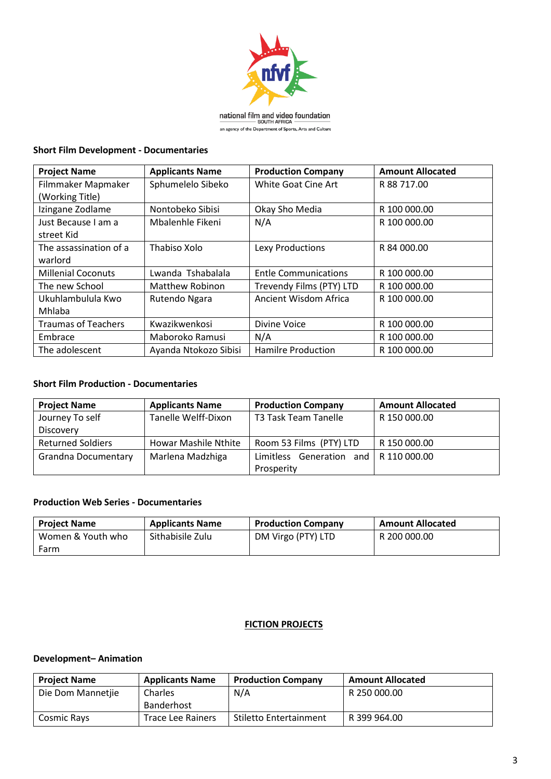

**national film and video foundation**<br>SOUTH AFRICA<br>an agency of the Department of Sports, Arts and Culture

### **Short Film Development - Documentaries**

| <b>Project Name</b>        | <b>Applicants Name</b> | <b>Production Company</b>    | <b>Amount Allocated</b> |
|----------------------------|------------------------|------------------------------|-------------------------|
| Filmmaker Mapmaker         | Sphumelelo Sibeko      | White Goat Cine Art          | R 88 717.00             |
| (Working Title)            |                        |                              |                         |
| Izingane Zodlame           | Nontobeko Sibisi       | Okay Sho Media               | R 100 000.00            |
| Just Because I am a        | Mbalenhle Fikeni       | N/A                          | R 100 000.00            |
| street Kid                 |                        |                              |                         |
| The assassination of a     | Thabiso Xolo           | Lexy Productions             | R 84 000.00             |
| warlord                    |                        |                              |                         |
| <b>Millenial Coconuts</b>  | Lwanda Tshabalala      | <b>Entle Communications</b>  | R 100 000.00            |
| The new School             | <b>Matthew Robinon</b> | Trevendy Films (PTY) LTD     | R 100 000.00            |
| Ukuhlambulula Kwo          | Rutendo Ngara          | <b>Ancient Wisdom Africa</b> | R 100 000.00            |
| Mhlaba                     |                        |                              |                         |
| <b>Traumas of Teachers</b> | Kwazikwenkosi          | <b>Divine Voice</b>          | R 100 000.00            |
| Embrace                    | Maboroko Ramusi        | N/A                          | R 100 000.00            |
| The adolescent             | Ayanda Ntokozo Sibisi  | <b>Hamilre Production</b>    | R 100 000.00            |

## **Short Film Production - Documentaries**

| <b>Project Name</b>        | <b>Applicants Name</b>      | <b>Production Company</b>                     | <b>Amount Allocated</b> |
|----------------------------|-----------------------------|-----------------------------------------------|-------------------------|
| Journey To self            | Tanelle Welff-Dixon         | T3 Task Team Tanelle                          | R 150 000.00            |
| Discovery                  |                             |                                               |                         |
| <b>Returned Soldiers</b>   | <b>Howar Mashile Nthite</b> | Room 53 Films (PTY) LTD                       | R 150 000.00            |
| <b>Grandna Documentary</b> | Marlena Madzhiga            | Limitless Generation and $\vert$ R 110 000.00 |                         |
|                            |                             | Prosperity                                    |                         |

### **Production Web Series - Documentaries**

| <b>Project Name</b> | <b>Applicants Name</b> | <b>Production Company</b> | <b>Amount Allocated</b> |
|---------------------|------------------------|---------------------------|-------------------------|
| Women & Youth who   | Sithabisile Zulu       | DM Virgo (PTY) LTD        | R 200 000.00            |
| Farm                |                        |                           |                         |

### **FICTION PROJECTS**

## **Development– Animation**

| <b>Project Name</b> | <b>Applicants Name</b>   | <b>Production Company</b> | <b>Amount Allocated</b> |
|---------------------|--------------------------|---------------------------|-------------------------|
| Die Dom Mannetjie   | Charles                  | N/A                       | R 250 000.00            |
|                     | Banderhost               |                           |                         |
| Cosmic Rays         | <b>Trace Lee Rainers</b> | Stiletto Entertainment    | R 399 964.00            |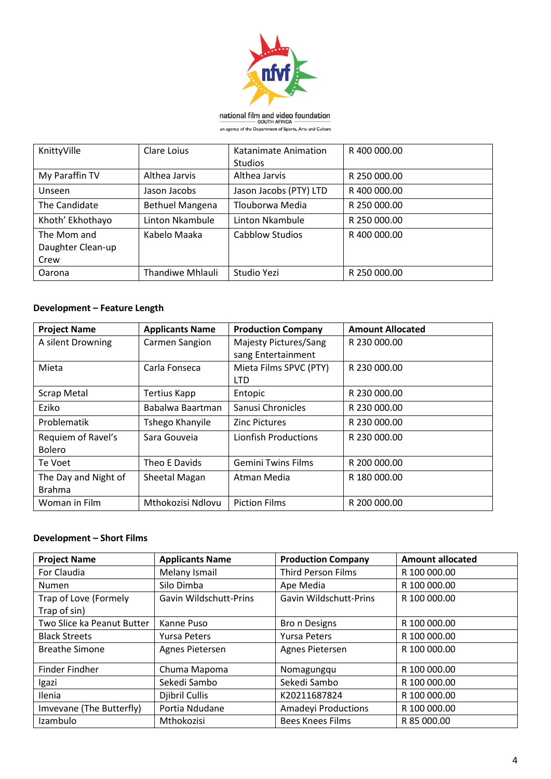

**national film and video foundation**<br>SOUTH AFRICA<br>an agency of the Department of Sports, Arts and Culture

| KnittyVille                              | Clare Loius            | Katanimate Animation<br><b>Studios</b> | R400000.00   |
|------------------------------------------|------------------------|----------------------------------------|--------------|
| My Paraffin TV                           | Althea Jarvis          | Althea Jarvis                          | R 250 000.00 |
| Unseen                                   | Jason Jacobs           | Jason Jacobs (PTY) LTD                 | R400000.00   |
| The Candidate                            | <b>Bethuel Mangena</b> | Tlouborwa Media                        | R 250 000.00 |
| Khoth' Ekhothayo                         | Linton Nkambule        | Linton Nkambule                        | R 250 000.00 |
| The Mom and<br>Daughter Clean-up<br>Crew | Kabelo Maaka           | Cabblow Studios                        | R400000.00   |
| Oarona                                   | Thandiwe Mhlauli       | Studio Yezi                            | R 250 000.00 |

# **Development – Feature Length**

| <b>Project Name</b>  | <b>Applicants Name</b> | <b>Production Company</b>    | <b>Amount Allocated</b> |
|----------------------|------------------------|------------------------------|-------------------------|
| A silent Drowning    | Carmen Sangion         | <b>Majesty Pictures/Sang</b> | R 230 000.00            |
|                      |                        | sang Entertainment           |                         |
| Mieta                | Carla Fonseca          | Mieta Films SPVC (PTY)       | R 230 000.00            |
|                      |                        | <b>LTD</b>                   |                         |
| <b>Scrap Metal</b>   | <b>Tertius Kapp</b>    | Entopic                      | R 230 000.00            |
| Eziko                | Babalwa Baartman       | Sanusi Chronicles            | R 230 000.00            |
| Problematik          | Tshego Khanyile        | <b>Zinc Pictures</b>         | R 230 000.00            |
| Requiem of Ravel's   | Sara Gouveia           | Lionfish Productions         | R 230 000.00            |
| <b>Bolero</b>        |                        |                              |                         |
| Te Voet              | Theo E Davids          | <b>Gemini Twins Films</b>    | R 200 000.00            |
| The Day and Night of | Sheetal Magan          | Atman Media                  | R 180 000.00            |
| <b>Brahma</b>        |                        |                              |                         |
| Woman in Film        | Mthokozisi Ndlovu      | <b>Piction Films</b>         | R 200 000.00            |

# **Development – Short Films**

| <b>Project Name</b>        | <b>Applicants Name</b>        | <b>Production Company</b>     | <b>Amount allocated</b> |
|----------------------------|-------------------------------|-------------------------------|-------------------------|
| For Claudia                | Melany Ismail                 | <b>Third Person Films</b>     | R 100 000.00            |
| <b>Numen</b>               | Silo Dimba                    | Ape Media                     | R 100 000.00            |
| Trap of Love (Formely      | <b>Gavin Wildschutt-Prins</b> | <b>Gavin Wildschutt-Prins</b> | R 100 000.00            |
| Trap of sin)               |                               |                               |                         |
| Two Slice ka Peanut Butter | Kanne Puso                    | <b>Bro n Designs</b>          | R 100 000.00            |
| <b>Black Streets</b>       | <b>Yursa Peters</b>           | <b>Yursa Peters</b>           | R 100 000.00            |
| <b>Breathe Simone</b>      | Agnes Pietersen               | Agnes Pietersen               | R 100 000.00            |
| Finder Findher             | Chuma Mapoma                  | Nomagungqu                    | R 100 000.00            |
| Igazi                      | Sekedi Sambo                  | Sekedi Sambo                  | R 100 000.00            |
| Ilenia                     | Djibril Cullis                | K20211687824                  | R 100 000.00            |
| Imvevane (The Butterfly)   | Portia Ndudane                | <b>Amadeyi Productions</b>    | R 100 000.00            |
| Izambulo                   | Mthokozisi                    | <b>Bees Knees Films</b>       | R 85 000.00             |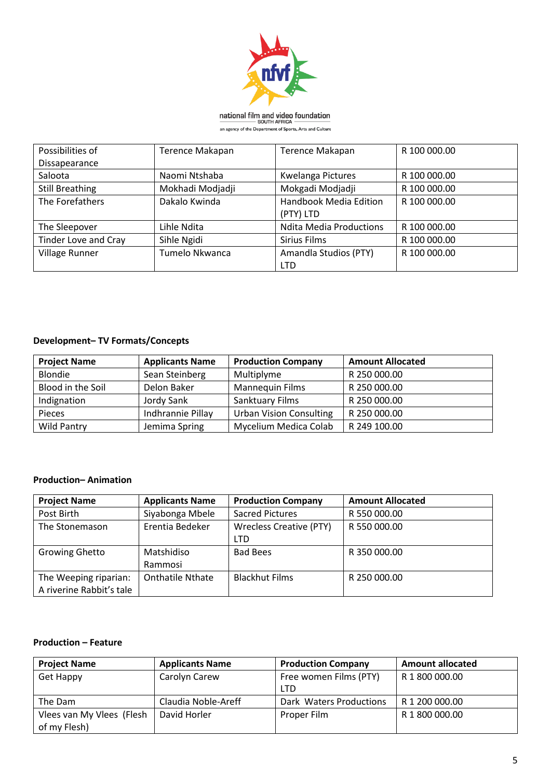

**national film and video foundation**<br>SOUTH AFRICA

| Possibilities of       | <b>Terence Makapan</b> | <b>Terence Makapan</b>         | R 100 000.00 |
|------------------------|------------------------|--------------------------------|--------------|
| Dissapearance          |                        |                                |              |
| Saloota                | Naomi Ntshaba          | <b>Kwelanga Pictures</b>       | R 100 000.00 |
| <b>Still Breathing</b> | Mokhadi Modjadji       | Mokgadi Modjadji               | R 100 000.00 |
| The Forefathers        | Dakalo Kwinda          | Handbook Media Edition         | R 100 000.00 |
|                        |                        | (PTY) LTD                      |              |
| The Sleepover          | Lihle Ndita            | <b>Ndita Media Productions</b> | R 100 000.00 |
| Tinder Love and Cray   | Sihle Ngidi            | Sirius Films                   | R 100 000.00 |
| <b>Village Runner</b>  | Tumelo Nkwanca         | Amandla Studios (PTY)          | R 100 000.00 |
|                        |                        | LTD                            |              |

# **Development– TV Formats/Concepts**

| <b>Project Name</b> | <b>Applicants Name</b> | <b>Production Company</b>      | <b>Amount Allocated</b> |
|---------------------|------------------------|--------------------------------|-------------------------|
| <b>Blondie</b>      | Sean Steinberg         | Multiplyme                     | R 250 000.00            |
| Blood in the Soil   | Delon Baker            | <b>Mannequin Films</b>         | R 250 000.00            |
| Indignation         | Jordy Sank             | Sanktuary Films                | R 250 000.00            |
| Pieces              | Indhrannie Pillay      | <b>Urban Vision Consulting</b> | R 250 000.00            |
| <b>Wild Pantry</b>  | Jemima Spring          | Mycelium Medica Colab          | R 249 100.00            |

### **Production– Animation**

| <b>Project Name</b>      | <b>Applicants Name</b>  | <b>Production Company</b>      | <b>Amount Allocated</b> |
|--------------------------|-------------------------|--------------------------------|-------------------------|
| Post Birth               | Siyabonga Mbele         | <b>Sacred Pictures</b>         | R 550 000.00            |
| The Stonemason           | Erentia Bedeker         | <b>Wrecless Creative (PTY)</b> | R 550 000.00            |
|                          |                         | <b>LTD</b>                     |                         |
| <b>Growing Ghetto</b>    | Matshidiso              | <b>Bad Bees</b>                | R 350 000.00            |
|                          | Rammosi                 |                                |                         |
| The Weeping riparian:    | <b>Onthatile Nthate</b> | <b>Blackhut Films</b>          | R 250 000.00            |
| A riverine Rabbit's tale |                         |                                |                         |

#### **Production – Feature**

| <b>Project Name</b>       | <b>Applicants Name</b> | <b>Production Company</b> | <b>Amount allocated</b> |
|---------------------------|------------------------|---------------------------|-------------------------|
| Get Happy                 | Carolyn Carew          | Free women Films (PTY)    | R 1 800 000.00          |
|                           |                        | <b>LTD</b>                |                         |
| The Dam                   | Claudia Noble-Areff    | Dark Waters Productions   | R 1 200 000.00          |
| Vlees van My Vlees (Flesh | David Horler           | Proper Film               | R 1 800 000.00          |
| of my Flesh)              |                        |                           |                         |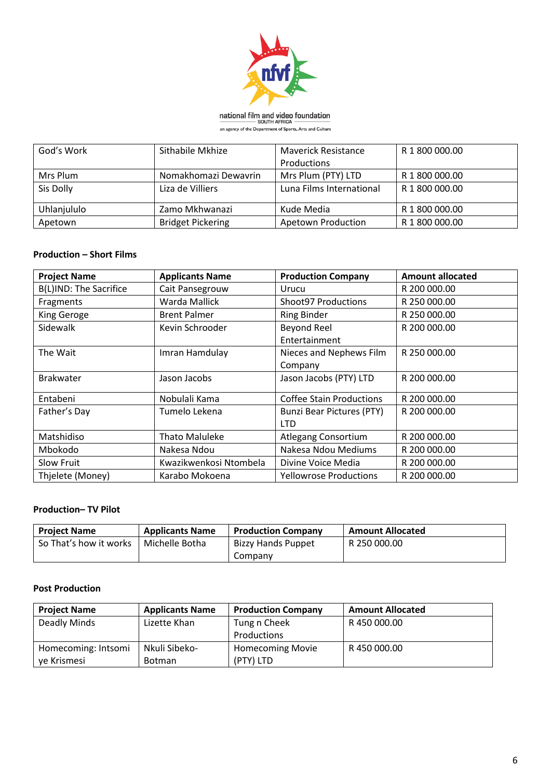

**national film and video foundation**<br>SOUTH AFRICA<br>an agency of the Department of Sports, Arts and Culture

| God's Work  | Sithabile Mkhize         | <b>Maverick Resistance</b> | R 1 800 000.00 |
|-------------|--------------------------|----------------------------|----------------|
|             |                          | <b>Productions</b>         |                |
| Mrs Plum    | Nomakhomazi Dewavrin     | Mrs Plum (PTY) LTD         | R 1 800 000.00 |
| Sis Dolly   | Liza de Villiers         | Luna Films International   | R 1 800 000.00 |
| Uhlanjululo | Zamo Mkhwanazi           | Kude Media                 | R 1 800 000.00 |
| Apetown     | <b>Bridget Pickering</b> | <b>Apetown Production</b>  | R 1 800 000.00 |

#### **Production – Short Films**

| <b>Project Name</b>    | <b>Applicants Name</b> | <b>Production Company</b>        | <b>Amount allocated</b> |
|------------------------|------------------------|----------------------------------|-------------------------|
| B(L)IND: The Sacrifice | Cait Pansegrouw        | Urucu                            | R 200 000.00            |
| Fragments              | Warda Mallick          | <b>Shoot97 Productions</b>       | R 250 000.00            |
| <b>King Geroge</b>     | <b>Brent Palmer</b>    | <b>Ring Binder</b>               | R 250 000.00            |
| Sidewalk               | Kevin Schrooder        | <b>Beyond Reel</b>               | R 200 000.00            |
|                        |                        | Entertainment                    |                         |
| The Wait               | Imran Hamdulay         | Nieces and Nephews Film          | R 250 000.00            |
|                        |                        | Company                          |                         |
| <b>Brakwater</b>       | Jason Jacobs           | Jason Jacobs (PTY) LTD           | R 200 000.00            |
| Entabeni               | Nobulali Kama          | <b>Coffee Stain Productions</b>  | R 200 000.00            |
| Father's Day           | Tumelo Lekena          | <b>Bunzi Bear Pictures (PTY)</b> | R 200 000.00            |
|                        |                        | LTD                              |                         |
| Matshidiso             | <b>Thato Maluleke</b>  | Atlegang Consortium              | R 200 000.00            |
| Mbokodo                | Nakesa Ndou            | Nakesa Ndou Mediums              | R 200 000.00            |
| Slow Fruit             | Kwazikwenkosi Ntombela | Divine Voice Media               | R 200 000.00            |
| Thjelete (Money)       | Karabo Mokoena         | <b>Yellowrose Productions</b>    | R 200 000.00            |

#### **Production– TV Pilot**

| <b>Project Name</b>    | <b>Applicants Name</b> | <b>Production Company</b> | <b>Amount Allocated</b> |
|------------------------|------------------------|---------------------------|-------------------------|
| So That's how it works | Michelle Botha         | <b>Bizzy Hands Puppet</b> | R 250 000.00            |
|                        |                        | Company                   |                         |

## **Post Production**

| <b>Project Name</b> | <b>Applicants Name</b> | <b>Production Company</b> | <b>Amount Allocated</b> |
|---------------------|------------------------|---------------------------|-------------------------|
| Deadly Minds        | Lizette Khan           | Tung n Cheek              | R 450 000.00            |
|                     |                        | Productions               |                         |
| Homecoming: Intsomi | Nkuli Sibeko-          | <b>Homecoming Movie</b>   | R 450 000.00            |
| ve Krismesi         | <b>Botman</b>          | (PTY) LTD                 |                         |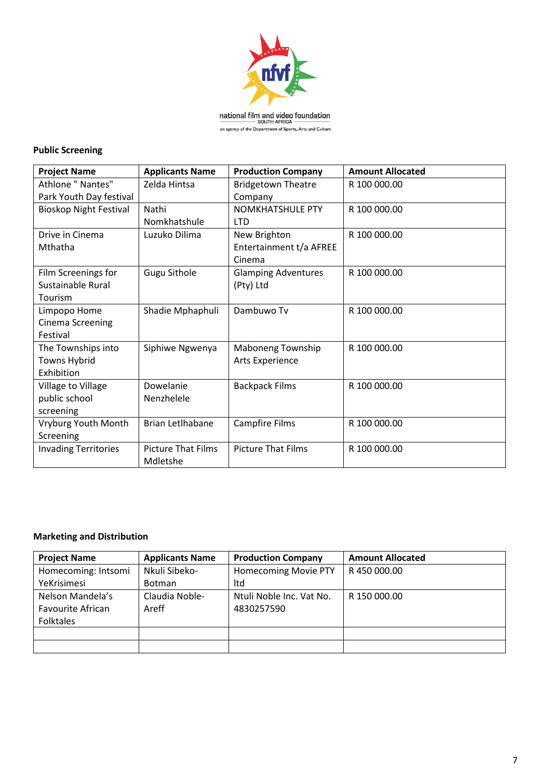

**national film and video foundation**<br>SOUTH AFRICA<br>an agency of the Department of Sports, Arts and Culture

# **Public Screening**

| <b>Project Name</b>           | <b>Applicants Name</b>    | <b>Production Company</b>  | <b>Amount Allocated</b> |
|-------------------------------|---------------------------|----------------------------|-------------------------|
| Athlone " Nantes"             | Zelda Hintsa              | <b>Bridgetown Theatre</b>  | R 100 000.00            |
| Park Youth Day festival       |                           | Company                    |                         |
| <b>Bioskop Night Festival</b> | Nathi                     | <b>NOMKHATSHULE PTY</b>    | R 100 000.00            |
|                               | Nomkhatshule              | <b>LTD</b>                 |                         |
| Drive in Cinema               | Luzuko Dilima             | New Brighton               | R 100 000.00            |
| Mthatha                       |                           | Entertainment t/a AFREE    |                         |
|                               |                           | Cinema                     |                         |
| Film Screenings for           | <b>Gugu Sithole</b>       | <b>Glamping Adventures</b> | R 100 000.00            |
| Sustainable Rural             |                           | (Pty) Ltd                  |                         |
| Tourism                       |                           |                            |                         |
| Limpopo Home                  | Shadie Mphaphuli          | Dambuwo Tv                 | R 100 000.00            |
| Cinema Screening              |                           |                            |                         |
| Festival                      |                           |                            |                         |
| The Townships into            | Siphiwe Ngwenya           | Maboneng Township          | R 100 000.00            |
| Towns Hybrid                  |                           | <b>Arts Experience</b>     |                         |
| Exhibition                    |                           |                            |                         |
| Village to Village            | Dowelanie                 | <b>Backpack Films</b>      | R 100 000.00            |
| public school                 | Nenzhelele                |                            |                         |
| screening                     |                           |                            |                         |
| Vryburg Youth Month           | <b>Brian LetIhabane</b>   | <b>Campfire Films</b>      | R 100 000.00            |
| Screening                     |                           |                            |                         |
| <b>Invading Territories</b>   | <b>Picture That Films</b> | <b>Picture That Films</b>  | R 100 000.00            |
|                               | Mdletshe                  |                            |                         |

### **Marketing and Distribution**

| <b>Project Name</b>      | <b>Applicants Name</b> | <b>Production Company</b>   | <b>Amount Allocated</b> |
|--------------------------|------------------------|-----------------------------|-------------------------|
| Homecoming: Intsomi      | Nkuli Sibeko-          | <b>Homecoming Movie PTY</b> | R 450 000.00            |
| YeKrisimesi              | <b>Botman</b>          | Itd                         |                         |
| Nelson Mandela's         | Claudia Noble-         | Ntuli Noble Inc. Vat No.    | R 150 000.00            |
| <b>Favourite African</b> | Areff                  | 4830257590                  |                         |
| <b>Folktales</b>         |                        |                             |                         |
|                          |                        |                             |                         |
|                          |                        |                             |                         |